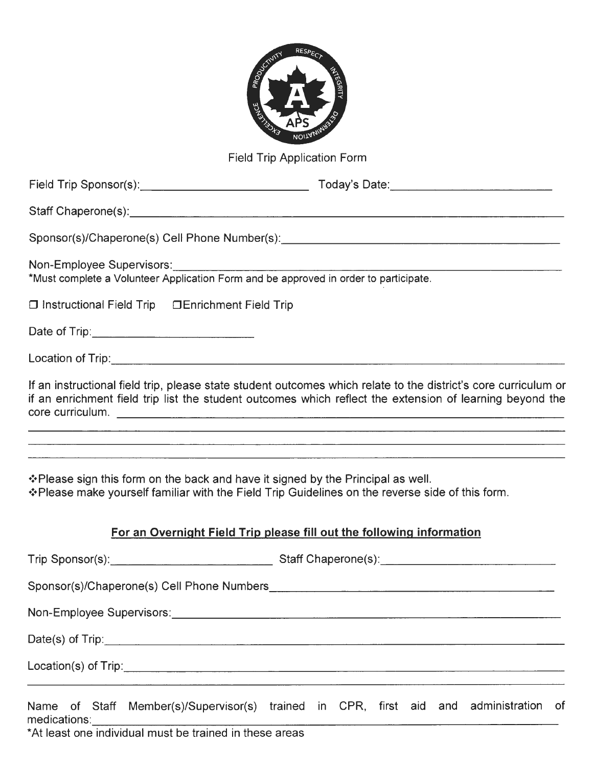

## Field Trip Application Form

| Non-Employee Supervisors:<br>*Must complete a Volunteer Application Form and be approved in order to participate.                                                                   |                                                                                                                                                                                                                                                                                                                                                                                                                                                                              |
|-------------------------------------------------------------------------------------------------------------------------------------------------------------------------------------|------------------------------------------------------------------------------------------------------------------------------------------------------------------------------------------------------------------------------------------------------------------------------------------------------------------------------------------------------------------------------------------------------------------------------------------------------------------------------|
| □ Instructional Field Trip □ Enrichment Field Trip                                                                                                                                  |                                                                                                                                                                                                                                                                                                                                                                                                                                                                              |
|                                                                                                                                                                                     |                                                                                                                                                                                                                                                                                                                                                                                                                                                                              |
|                                                                                                                                                                                     |                                                                                                                                                                                                                                                                                                                                                                                                                                                                              |
|                                                                                                                                                                                     | If an instructional field trip, please state student outcomes which relate to the district's core curriculum or<br>if an enrichment field trip list the student outcomes which reflect the extension of learning beyond the<br><u> 1990 - Johann Stoff, deutscher Stoff, der Stoff, der Stoff, der Stoff, der Stoff, der Stoff, der Stoff, der S</u><br><u> 1980 - Andrea Santa Andrea Andrea Santa Andrea Andrea Andrea Andrea Andrea Andrea Andrea Andrea Andrea Andre</u> |
| ❖ Please sign this form on the back and have it signed by the Principal as well.<br>*Please make yourself familiar with the Field Trip Guidelines on the reverse side of this form. | For an Overnight Field Trip please fill out the following information                                                                                                                                                                                                                                                                                                                                                                                                        |
|                                                                                                                                                                                     |                                                                                                                                                                                                                                                                                                                                                                                                                                                                              |
|                                                                                                                                                                                     | Sponsor(s)/Chaperone(s) Cell Phone Numbers [2010] [2010] [2010] [2010] [2010] [2010] [2010] [2010] [2010] [2010] [2010] [2010] [2010] [2010] [2010] [2010] [2010] [2010] [2010] [2010] [2010] [2010] [2010] [2010] [2010] [201                                                                                                                                                                                                                                               |
|                                                                                                                                                                                     |                                                                                                                                                                                                                                                                                                                                                                                                                                                                              |
|                                                                                                                                                                                     |                                                                                                                                                                                                                                                                                                                                                                                                                                                                              |
|                                                                                                                                                                                     |                                                                                                                                                                                                                                                                                                                                                                                                                                                                              |
| medications:<br>medications:<br>*At least one individual must be trained in these areas                                                                                             | Name of Staff Member(s)/Supervisor(s) trained in CPR, first aid and administration of                                                                                                                                                                                                                                                                                                                                                                                        |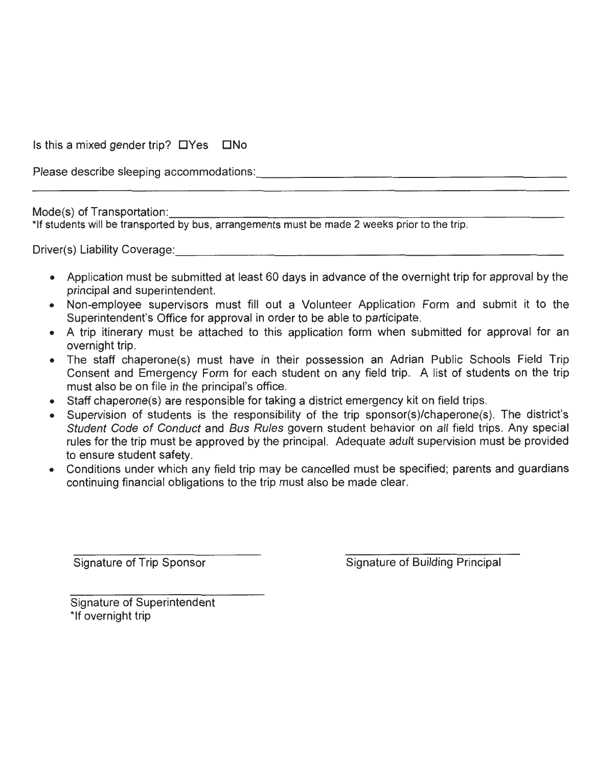Is this a mixed gender trip?  $\Box$  Yes  $\Box$  No

Please describe sleeping accommodations: \_\_\_\_\_\_\_\_\_\_\_\_\_\_\_\_\_\_\_\_\_ \_

Mode(s) of Transportation:

\*If students will be transported by bus, arrangements must be made 2 weeks prior to the trip.

Driver(s) Liability Coverage: \_\_\_\_\_\_\_\_\_\_\_\_\_\_\_\_\_\_\_\_\_\_\_\_\_\_ \_

- Application must be submitted at least 60 days in advance of the overnight trip for approval by the principal and superintendent.
- Non-employee supervisors must fill out a Volunteer Application Form and submit it to the Superintendent's Office for approval in order to be able to participate.
- A trip itinerary must be attached to this application form when submitted for approval for an overnight trip.
- The staff chaperone(s) must have in their possession an Adrian Public Schools Field Trip Consent and Emergency Form for each student on any field trip. A list of students on the trip must also be on file in the principal's office.
- Staff chaperone(s) are responsible for taking a district emergency kit on field trips.
- Supervision of students is the responsibility of the trip sponsor(s)/chaperone(s). The district's Student Code of Conduct and Bus Rules govern student behavior on all field trips. Any special rules for the trip must be approved by the principal. Adequate adult supervision must be provided to ensure student safety.
- Conditions under which any field trip may be cancelled must be specified; parents and guardians continuing financial obligations to the trip must also be made clear.

Signature of Trip Sponsor

Signature of Building Principal

Signature of Superintendent \*If overnight trip